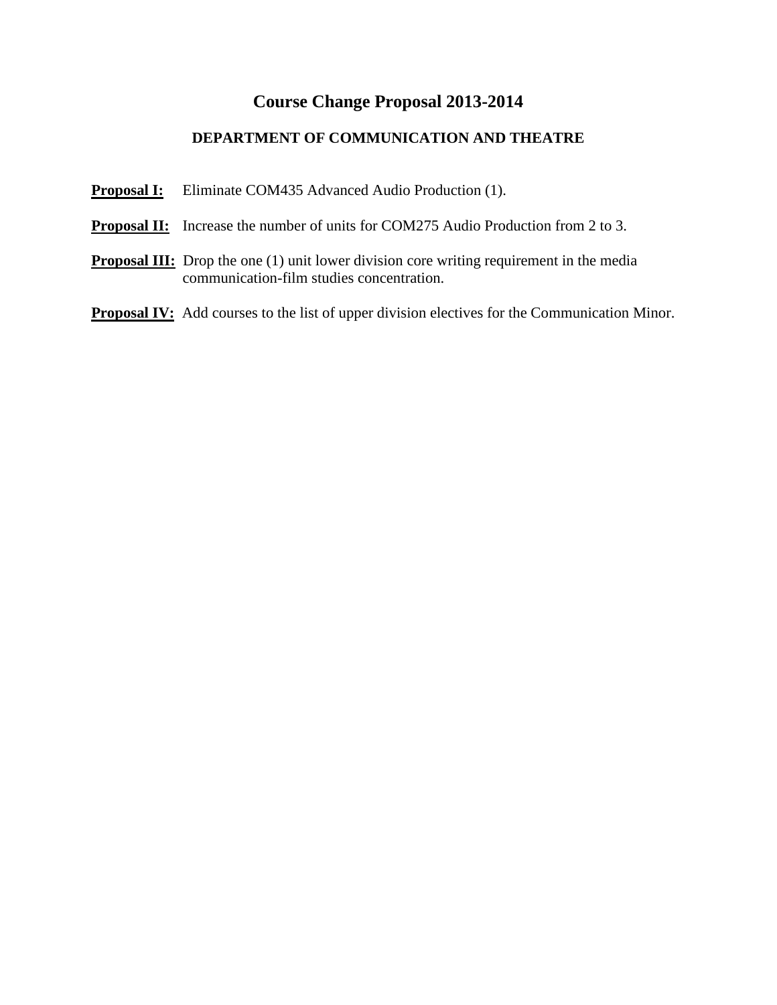# **Course Change Proposal 2013-2014**

# **DEPARTMENT OF COMMUNICATION AND THEATRE**

**Proposal I:** Eliminate COM435 Advanced Audio Production (1).

- **Proposal II:** Increase the number of units for COM275 Audio Production from 2 to 3.
- **Proposal III:** Drop the one (1) unit lower division core writing requirement in the media communication-film studies concentration.

**Proposal IV:** Add courses to the list of upper division electives for the Communication Minor.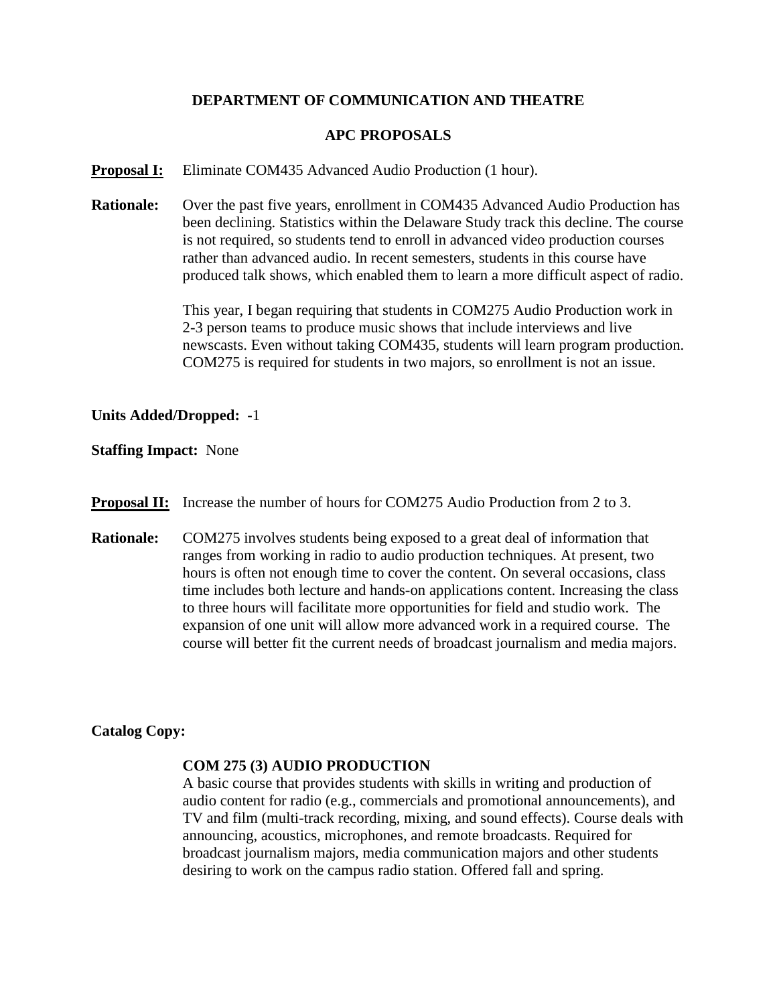### **DEPARTMENT OF COMMUNICATION AND THEATRE**

#### **APC PROPOSALS**

**Proposal I:** Eliminate COM435 Advanced Audio Production (1 hour).

**Rationale:** Over the past five years, enrollment in COM435 Advanced Audio Production has been declining. Statistics within the Delaware Study track this decline. The course is not required, so students tend to enroll in advanced video production courses rather than advanced audio. In recent semesters, students in this course have produced talk shows, which enabled them to learn a more difficult aspect of radio.

> This year, I began requiring that students in COM275 Audio Production work in 2-3 person teams to produce music shows that include interviews and live newscasts. Even without taking COM435, students will learn program production. COM275 is required for students in two majors, so enrollment is not an issue.

#### **Units Added/Dropped: -**1

#### **Staffing Impact:** None

- **Proposal II:** Increase the number of hours for COM275 Audio Production from 2 to 3.
- **Rationale:** COM275 involves students being exposed to a great deal of information that ranges from working in radio to audio production techniques. At present, two hours is often not enough time to cover the content. On several occasions, class time includes both lecture and hands-on applications content. Increasing the class to three hours will facilitate more opportunities for field and studio work. The expansion of one unit will allow more advanced work in a required course. The course will better fit the current needs of broadcast journalism and media majors.

### **Catalog Copy:**

#### **COM 275 (3) AUDIO PRODUCTION**

A basic course that provides students with skills in writing and production of audio content for radio (e.g., commercials and promotional announcements), and TV and film (multi-track recording, mixing, and sound effects). Course deals with announcing, acoustics, microphones, and remote broadcasts. Required for broadcast journalism majors, media communication majors and other students desiring to work on the campus radio station. Offered fall and spring.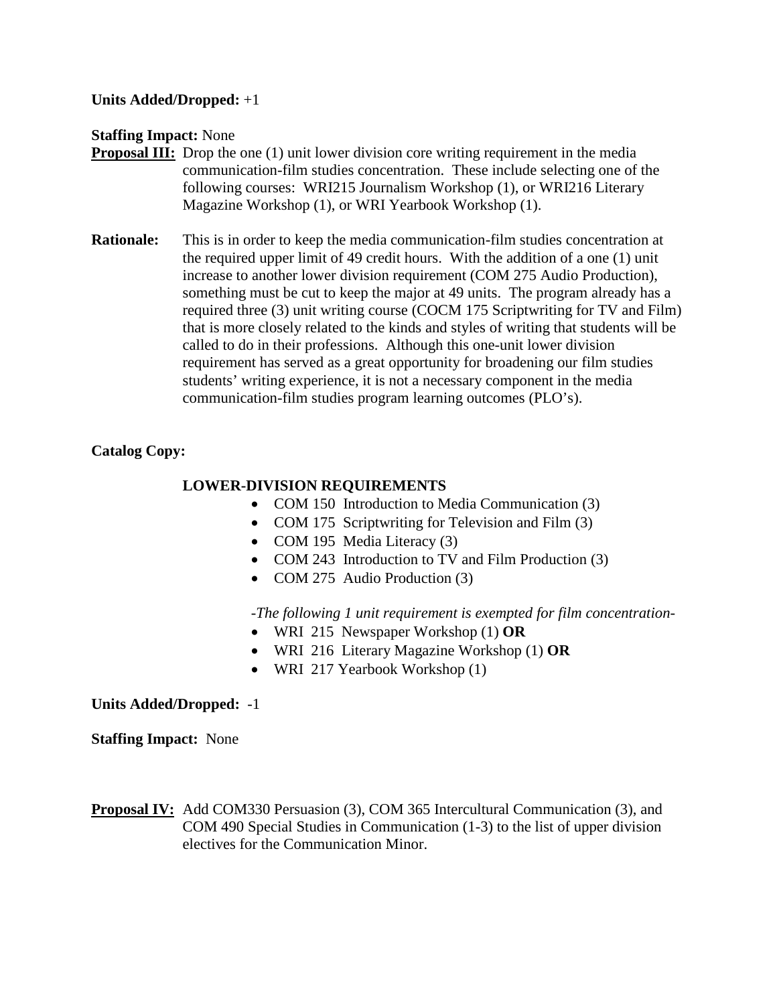**Units Added/Dropped:** +1

**Staffing Impact:** None

- **Proposal III:** Drop the one (1) unit lower division core writing requirement in the media communication-film studies concentration. These include selecting one of the following courses: WRI215 Journalism Workshop (1), or WRI216 Literary Magazine Workshop (1), or WRI Yearbook Workshop (1).
- **Rationale:** This is in order to keep the media communication-film studies concentration at the required upper limit of 49 credit hours. With the addition of a one (1) unit increase to another lower division requirement (COM 275 Audio Production), something must be cut to keep the major at 49 units. The program already has a required three (3) unit writing course (COCM 175 Scriptwriting for TV and Film) that is more closely related to the kinds and styles of writing that students will be called to do in their professions. Although this one-unit lower division requirement has served as a great opportunity for broadening our film studies students' writing experience, it is not a necessary component in the media communication-film studies program learning outcomes (PLO's).

# **Catalog Copy:**

# **LOWER-DIVISION REQUIREMENTS**

- COM 150 Introduction to Media Communication (3)
- COM 175 Scriptwriting for Television and Film (3)
- COM 195 Media Literacy (3)
- COM 243 Introduction to TV and Film Production (3)
- COM 275 Audio Production (3)

-*The following 1 unit requirement is exempted for film concentration-*

- WRI 215 Newspaper Workshop (1) **OR**
- WRI 216 Literary Magazine Workshop (1) **OR**
- WRI 217 Yearbook Workshop (1)

**Units Added/Dropped:** -1

**Staffing Impact:** None

**Proposal IV:** Add COM330 Persuasion (3), COM 365 Intercultural Communication (3), and COM 490 Special Studies in Communication (1-3) to the list of upper division electives for the Communication Minor.